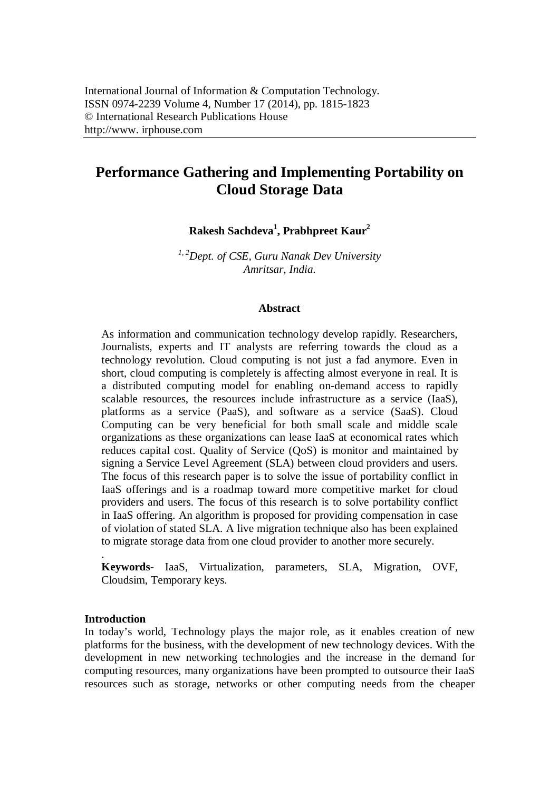# **Performance Gathering and Implementing Portability on Cloud Storage Data**

**Rakesh Sachdeva<sup>1</sup> , Prabhpreet Kaur<sup>2</sup>**

*1, 2Dept. of CSE, Guru Nanak Dev University Amritsar, India.*

## **Abstract**

As information and communication technology develop rapidly. Researchers, Journalists, experts and IT analysts are referring towards the cloud as a technology revolution. Cloud computing is not just a fad anymore. Even in short, cloud computing is completely is affecting almost everyone in real. It is a distributed computing model for enabling on-demand access to rapidly scalable resources, the resources include infrastructure as a service (IaaS), platforms as a service (PaaS), and software as a service (SaaS). Cloud Computing can be very beneficial for both small scale and middle scale organizations as these organizations can lease IaaS at economical rates which reduces capital cost. Quality of Service (QoS) is monitor and maintained by signing a Service Level Agreement (SLA) between cloud providers and users. The focus of this research paper is to solve the issue of portability conflict in IaaS offerings and is a roadmap toward more competitive market for cloud providers and users. The focus of this research is to solve portability conflict in IaaS offering. An algorithm is proposed for providing compensation in case of violation of stated SLA. A live migration technique also has been explained to migrate storage data from one cloud provider to another more securely.

**Keywords***-* IaaS, Virtualization, parameters, SLA, Migration, OVF, Cloudsim, Temporary keys.

## **Introduction**

.

In today's world, Technology plays the major role, as it enables creation of new platforms for the business, with the development of new technology devices. With the development in new networking technologies and the increase in the demand for computing resources, many organizations have been prompted to outsource their IaaS resources such as storage, networks or other computing needs from the cheaper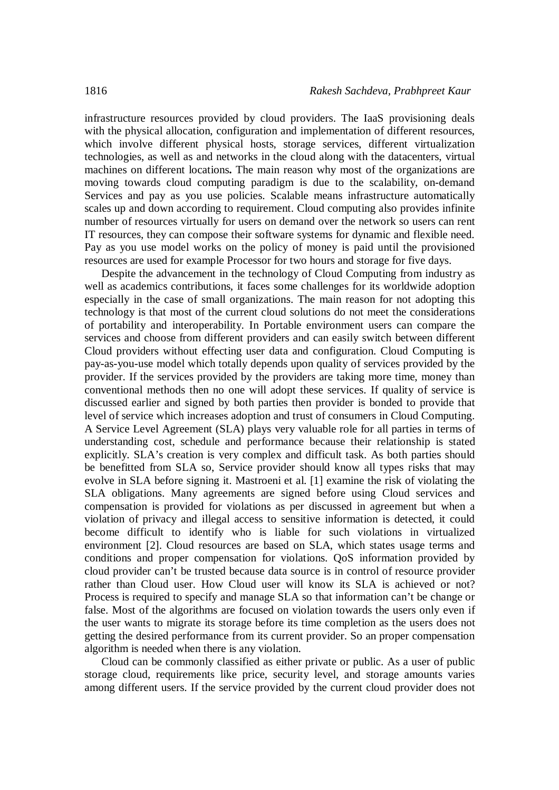infrastructure resources provided by cloud providers. The IaaS provisioning deals with the physical allocation, configuration and implementation of different resources, which involve different physical hosts, storage services, different virtualization technologies, as well as and networks in the cloud along with the datacenters, virtual machines on different locations**.** The main reason why most of the organizations are moving towards cloud computing paradigm is due to the scalability, on-demand Services and pay as you use policies. Scalable means infrastructure automatically scales up and down according to requirement. Cloud computing also provides infinite number of resources virtually for users on demand over the network so users can rent IT resources, they can compose their software systems for dynamic and flexible need. Pay as you use model works on the policy of money is paid until the provisioned resources are used for example Processor for two hours and storage for five days.

Despite the advancement in the technology of Cloud Computing from industry as well as academics contributions, it faces some challenges for its worldwide adoption especially in the case of small organizations. The main reason for not adopting this technology is that most of the current cloud solutions do not meet the considerations of portability and interoperability. In Portable environment users can compare the services and choose from different providers and can easily switch between different Cloud providers without effecting user data and configuration. Cloud Computing is pay-as-you-use model which totally depends upon quality of services provided by the provider. If the services provided by the providers are taking more time, money than conventional methods then no one will adopt these services. If quality of service is discussed earlier and signed by both parties then provider is bonded to provide that level of service which increases adoption and trust of consumers in Cloud Computing. A Service Level Agreement (SLA) plays very valuable role for all parties in terms of understanding cost, schedule and performance because their relationship is stated explicitly. SLA's creation is very complex and difficult task. As both parties should be benefitted from SLA so, Service provider should know all types risks that may evolve in SLA before signing it. Mastroeni et al. [1] examine the risk of violating the SLA obligations. Many agreements are signed before using Cloud services and compensation is provided for violations as per discussed in agreement but when a violation of privacy and illegal access to sensitive information is detected, it could become difficult to identify who is liable for such violations in virtualized environment [2]. Cloud resources are based on SLA, which states usage terms and conditions and proper compensation for violations. QoS information provided by cloud provider can't be trusted because data source is in control of resource provider rather than Cloud user. How Cloud user will know its SLA is achieved or not? Process is required to specify and manage SLA so that information can't be change or false. Most of the algorithms are focused on violation towards the users only even if the user wants to migrate its storage before its time completion as the users does not getting the desired performance from its current provider. So an proper compensation algorithm is needed when there is any violation.

Cloud can be commonly classified as either private or public. As a user of public storage cloud, requirements like price, security level, and storage amounts varies among different users. If the service provided by the current cloud provider does not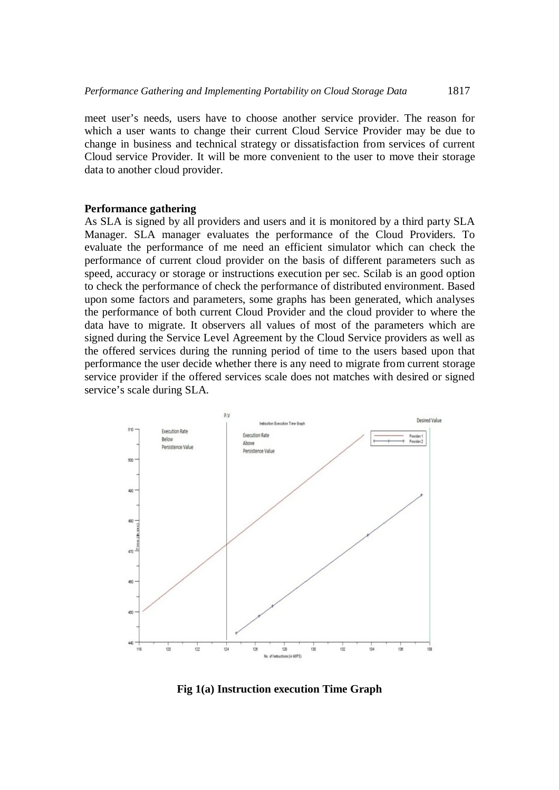meet user's needs, users have to choose another service provider. The reason for which a user wants to change their current Cloud Service Provider may be due to change in business and technical strategy or dissatisfaction from services of current Cloud service Provider. It will be more convenient to the user to move their storage data to another cloud provider.

## **Performance gathering**

As SLA is signed by all providers and users and it is monitored by a third party SLA Manager. SLA manager evaluates the performance of the Cloud Providers. To evaluate the performance of me need an efficient simulator which can check the performance of current cloud provider on the basis of different parameters such as speed, accuracy or storage or instructions execution per sec. Scilab is an good option to check the performance of check the performance of distributed environment. Based upon some factors and parameters, some graphs has been generated, which analyses the performance of both current Cloud Provider and the cloud provider to where the data have to migrate. It observers all values of most of the parameters which are signed during the Service Level Agreement by the Cloud Service providers as well as the offered services during the running period of time to the users based upon that performance the user decide whether there is any need to migrate from current storage service provider if the offered services scale does not matches with desired or signed service's scale during SLA.



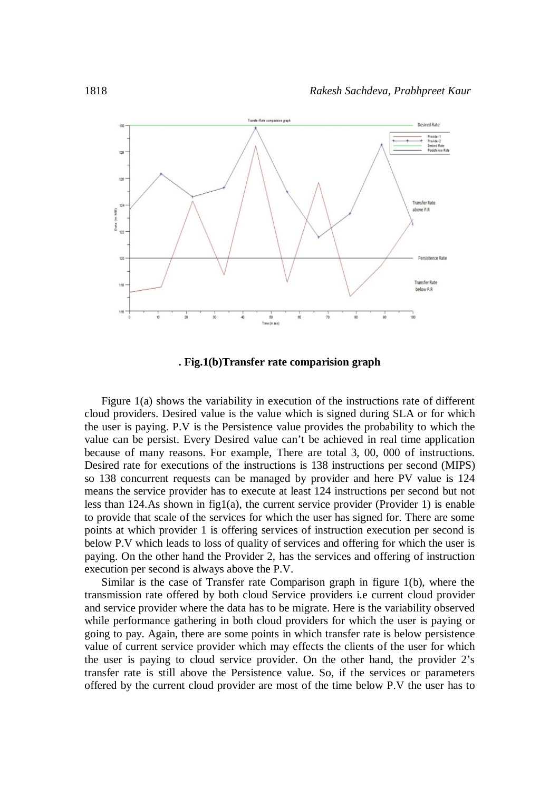

**. Fig.1(b)Transfer rate comparision graph**

Figure 1(a) shows the variability in execution of the instructions rate of different cloud providers. Desired value is the value which is signed during SLA or for which the user is paying. P.V is the Persistence value provides the probability to which the value can be persist. Every Desired value can't be achieved in real time application because of many reasons. For example, There are total 3, 00, 000 of instructions. Desired rate for executions of the instructions is 138 instructions per second (MIPS) so 138 concurrent requests can be managed by provider and here PV value is 124 means the service provider has to execute at least 124 instructions per second but not less than 124.As shown in fig1(a), the current service provider (Provider 1) is enable to provide that scale of the services for which the user has signed for. There are some points at which provider 1 is offering services of instruction execution per second is below P.V which leads to loss of quality of services and offering for which the user is paying. On the other hand the Provider 2, has the services and offering of instruction execution per second is always above the P.V.

Similar is the case of Transfer rate Comparison graph in figure 1(b), where the transmission rate offered by both cloud Service providers i.e current cloud provider and service provider where the data has to be migrate. Here is the variability observed while performance gathering in both cloud providers for which the user is paying or going to pay. Again, there are some points in which transfer rate is below persistence value of current service provider which may effects the clients of the user for which the user is paying to cloud service provider. On the other hand, the provider 2's transfer rate is still above the Persistence value. So, if the services or parameters offered by the current cloud provider are most of the time below P.V the user has to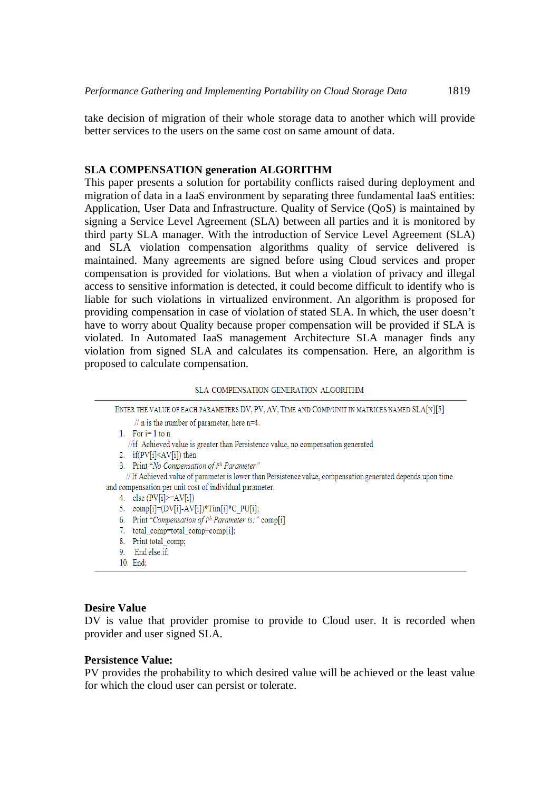take decision of migration of their whole storage data to another which will provide better services to the users on the same cost on same amount of data.

## **SLA COMPENSATION generation ALGORITHM**

This paper presents a solution for portability conflicts raised during deployment and migration of data in a IaaS environment by separating three fundamental IaaS entities: Application, User Data and Infrastructure. Quality of Service (QoS) is maintained by signing a Service Level Agreement (SLA) between all parties and it is monitored by third party SLA manager. With the introduction of Service Level Agreement (SLA) and SLA violation compensation algorithms quality of service delivered is maintained. Many agreements are signed before using Cloud services and proper compensation is provided for violations. But when a violation of privacy and illegal access to sensitive information is detected, it could become difficult to identify who is liable for such violations in virtualized environment. An algorithm is proposed for providing compensation in case of violation of stated SLA. In which, the user doesn't have to worry about Quality because proper compensation will be provided if SLA is violated. In Automated IaaS management Architecture SLA manager finds any violation from signed SLA and calculates its compensation. Here, an algorithm is proposed to calculate compensation.

#### SLA COMPENSATION GENERATION ALGORITHM

| ENTER THE VALUE OF EACH PARAMETERS DV, PV, AV, TIME AND COMP/UNIT IN MATRICES NAMED SLA[N][5]               |
|-------------------------------------------------------------------------------------------------------------|
| $\frac{1}{\pi}$ is the number of parameter, here n=4.                                                       |
| 1. For $i=1$ to n                                                                                           |
| //if Achieved value is greater than Persistence value, no compensation generated                            |
| 2. $if(PV[i] \le AV[i])$ then                                                                               |
| 3. Print "No Compensation of ith Parameter"                                                                 |
| // If Achieved value of parameter is lower than Persistence value, compensation generated depends upon time |
| and compensation per unit cost of individual parameter.                                                     |
| 4. else $(PV[i] \geq A V[i])$                                                                               |
| 5. comp[i]= $(DV[i] - AV[i])$ *Tim[i]*C PU[i];                                                              |
| Print "Compensation of ith Parameter is:" comp[i]<br>6.                                                     |
| total comp=total comp+comp[i];<br>7.                                                                        |
| Print total comp;<br>8.                                                                                     |
| 9. End else if:                                                                                             |
| 10. End:                                                                                                    |
|                                                                                                             |

## **Desire Value**

DV is value that provider promise to provide to Cloud user. It is recorded when provider and user signed SLA.

## **Persistence Value:**

PV provides the probability to which desired value will be achieved or the least value for which the cloud user can persist or tolerate.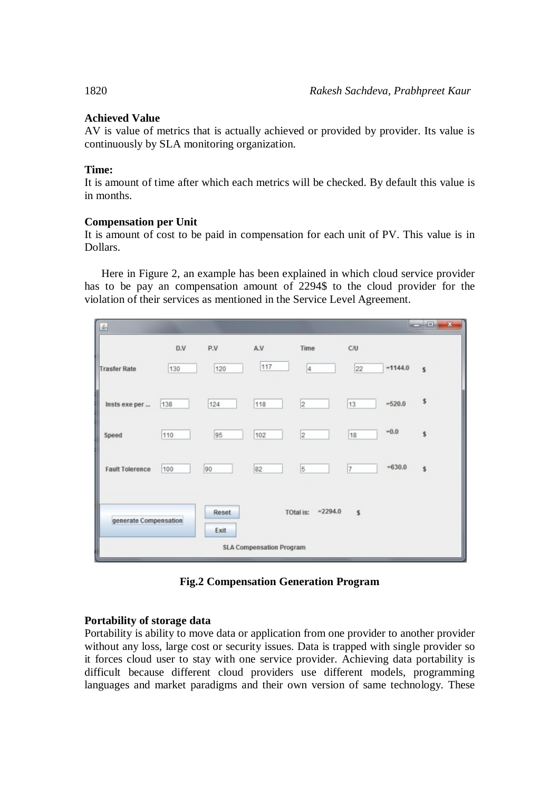## **Achieved Value**

AV is value of metrics that is actually achieved or provided by provider. Its value is continuously by SLA monitoring organization.

## **Time:**

It is amount of time after which each metrics will be checked. By default this value is in months.

## **Compensation per Unit**

It is amount of cost to be paid in compensation for each unit of PV. This value is in Dollars.

Here in Figure 2, an example has been explained in which cloud service provider has to be pay an compensation amount of 2294\$ to the cloud provider for the violation of their services as mentioned in the Service Level Agreement.

| 画                                                                                        |     |     |     |                |                |            | $\Box$ $\Box$ $\Box$ |  |
|------------------------------------------------------------------------------------------|-----|-----|-----|----------------|----------------|------------|----------------------|--|
|                                                                                          | D.V | P.V | A.V | Time           | C/U            |            |                      |  |
| <b>Trasfer Rate</b>                                                                      | 130 | 120 | 117 | $\vert 4$      | 22             | $= 1144.0$ | Ŝ                    |  |
| Insts exe per                                                                            | 138 | 124 | 118 | $\overline{2}$ | 13             | $=520.0$   | s                    |  |
| Speed                                                                                    | 110 | 95  | 102 | $\overline{2}$ | 18             | $-0.0$     | \$                   |  |
| <b>Fault Tolerence</b>                                                                   | 100 | 90  | 82  | 5              | $\overline{7}$ | $-630.0$   | \$                   |  |
| $= 2294.0$<br>Reset<br><b>TOtal is:</b><br>$\mathsf{s}$<br>generate Compensation<br>Exit |     |     |     |                |                |            |                      |  |
| <b>SLA Compensation Program</b>                                                          |     |     |     |                |                |            |                      |  |

**Fig.2 Compensation Generation Program**

## **Portability of storage data**

Portability is ability to move data or application from one provider to another provider without any loss, large cost or security issues. Data is trapped with single provider so it forces cloud user to stay with one service provider. Achieving data portability is difficult because different cloud providers use different models, programming languages and market paradigms and their own version of same technology. These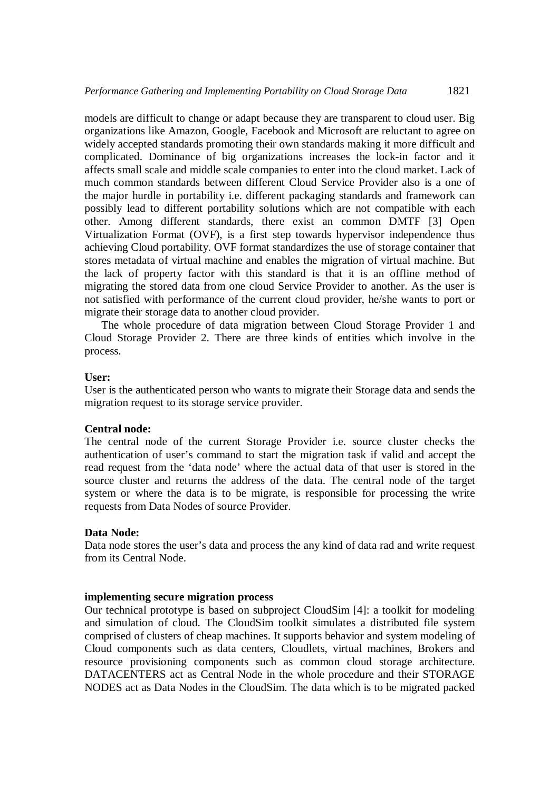models are difficult to change or adapt because they are transparent to cloud user. Big organizations like Amazon, Google, Facebook and Microsoft are reluctant to agree on widely accepted standards promoting their own standards making it more difficult and complicated. Dominance of big organizations increases the lock-in factor and it affects small scale and middle scale companies to enter into the cloud market. Lack of much common standards between different Cloud Service Provider also is a one of the major hurdle in portability i.e. different packaging standards and framework can possibly lead to different portability solutions which are not compatible with each other. Among different standards, there exist an common DMTF [3] Open Virtualization Format (OVF), is a first step towards hypervisor independence thus achieving Cloud portability. OVF format standardizes the use of storage container that stores metadata of virtual machine and enables the migration of virtual machine. But the lack of property factor with this standard is that it is an offline method of migrating the stored data from one cloud Service Provider to another. As the user is not satisfied with performance of the current cloud provider, he/she wants to port or migrate their storage data to another cloud provider.

The whole procedure of data migration between Cloud Storage Provider 1 and Cloud Storage Provider 2. There are three kinds of entities which involve in the process.

## **User:**

User is the authenticated person who wants to migrate their Storage data and sends the migration request to its storage service provider.

## **Central node:**

The central node of the current Storage Provider i.e. source cluster checks the authentication of user's command to start the migration task if valid and accept the read request from the 'data node' where the actual data of that user is stored in the source cluster and returns the address of the data. The central node of the target system or where the data is to be migrate, is responsible for processing the write requests from Data Nodes of source Provider.

## **Data Node:**

Data node stores the user's data and process the any kind of data rad and write request from its Central Node.

#### **implementing secure migration process**

Our technical prototype is based on subproject CloudSim [4]: a toolkit for modeling and simulation of cloud. The CloudSim toolkit simulates a distributed file system comprised of clusters of cheap machines. It supports behavior and system modeling of Cloud components such as data centers, Cloudlets, virtual machines, Brokers and resource provisioning components such as common cloud storage architecture. DATACENTERS act as Central Node in the whole procedure and their STORAGE NODES act as Data Nodes in the CloudSim. The data which is to be migrated packed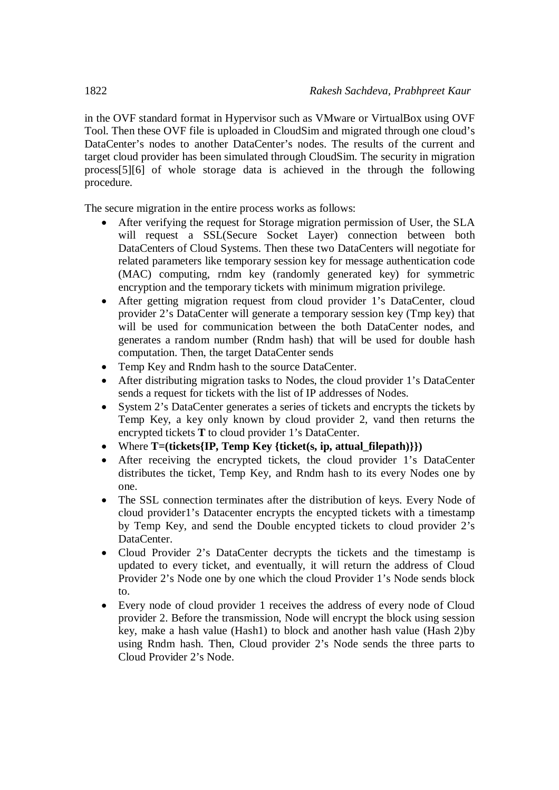in the OVF standard format in Hypervisor such as VMware or VirtualBox using OVF Tool. Then these OVF file is uploaded in CloudSim and migrated through one cloud's DataCenter's nodes to another DataCenter's nodes. The results of the current and target cloud provider has been simulated through CloudSim. The security in migration process[5][6] of whole storage data is achieved in the through the following procedure.

The secure migration in the entire process works as follows:

- After verifying the request for Storage migration permission of User, the SLA will request a SSL(Secure Socket Layer) connection between both DataCenters of Cloud Systems. Then these two DataCenters will negotiate for related parameters like temporary session key for message authentication code (MAC) computing, rndm key (randomly generated key) for symmetric encryption and the temporary tickets with minimum migration privilege.
- After getting migration request from cloud provider 1's DataCenter, cloud provider 2's DataCenter will generate a temporary session key (Tmp key) that will be used for communication between the both DataCenter nodes, and generates a random number (Rndm hash) that will be used for double hash computation. Then, the target DataCenter sends
- Temp Key and Rndm hash to the source DataCenter.
- After distributing migration tasks to Nodes, the cloud provider 1's DataCenter sends a request for tickets with the list of IP addresses of Nodes.
- System 2's DataCenter generates a series of tickets and encrypts the tickets by Temp Key, a key only known by cloud provider 2, vand then returns the encrypted tickets **T** to cloud provider 1's DataCenter.
- Where **T=(tickets{IP, Temp Key {ticket(s, ip, attual\_filepath)}})**
- After receiving the encrypted tickets, the cloud provider 1's DataCenter distributes the ticket, Temp Key, and Rndm hash to its every Nodes one by one.
- The SSL connection terminates after the distribution of keys. Every Node of cloud provider1's Datacenter encrypts the encypted tickets with a timestamp by Temp Key, and send the Double encypted tickets to cloud provider 2's DataCenter.
- Cloud Provider 2's DataCenter decrypts the tickets and the timestamp is updated to every ticket, and eventually, it will return the address of Cloud Provider 2's Node one by one which the cloud Provider 1's Node sends block to.
- Every node of cloud provider 1 receives the address of every node of Cloud provider 2. Before the transmission, Node will encrypt the block using session key, make a hash value (Hash1) to block and another hash value (Hash 2)by using Rndm hash. Then, Cloud provider 2's Node sends the three parts to Cloud Provider 2's Node.